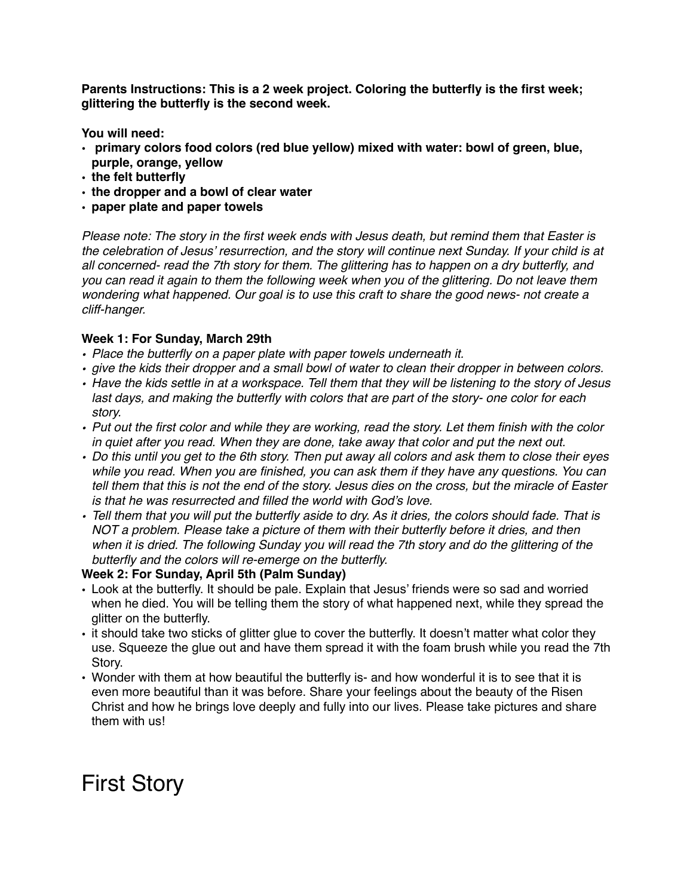**Parents Instructions: This is a 2 week project. Coloring the butterfly is the first week; glittering the butterfly is the second week.** 

**You will need:**

- **primary colors food colors (red blue yellow) mixed with water: bowl of green, blue, purple, orange, yellow**
- **• the felt butterfly**
- **• the dropper and a bowl of clear water**
- **• paper plate and paper towels**

*Please note: The story in the first week ends with Jesus death, but remind them that Easter is the celebration of Jesus' resurrection, and the story will continue next Sunday. If your child is at all concerned- read the 7th story for them. The glittering has to happen on a dry butterfly, and you can read it again to them the following week when you of the glittering. Do not leave them wondering what happened. Our goal is to use this craft to share the good news- not create a cliff-hanger.* 

#### **Week 1: For Sunday, March 29th**

- *• Place the butterfly on a paper plate with paper towels underneath it.*
- *• give the kids their dropper and a small bowl of water to clean their dropper in between colors.*
- *• Have the kids settle in at a workspace. Tell them that they will be listening to the story of Jesus last days, and making the butterfly with colors that are part of the story- one color for each story.*
- *• Put out the first color and while they are working, read the story. Let them finish with the color in quiet after you read. When they are done, take away that color and put the next out.*
- *• Do this until you get to the 6th story. Then put away all colors and ask them to close their eyes while you read. When you are finished, you can ask them if they have any questions. You can tell them that this is not the end of the story. Jesus dies on the cross, but the miracle of Easter is that he was resurrected and filled the world with God's love.*
- *• Tell them that you will put the butterfly aside to dry. As it dries, the colors should fade. That is NOT a problem. Please take a picture of them with their butterfly before it dries, and then when it is dried. The following Sunday you will read the 7th story and do the glittering of the butterfly and the colors will re-emerge on the butterfly.*

#### **Week 2: For Sunday, April 5th (Palm Sunday)**

- Look at the butterfly. It should be pale. Explain that Jesus' friends were so sad and worried when he died. You will be telling them the story of what happened next, while they spread the glitter on the butterfly.
- it should take two sticks of glitter glue to cover the butterfly. It doesn't matter what color they use. Squeeze the glue out and have them spread it with the foam brush while you read the 7th Story.
- Wonder with them at how beautiful the butterfly is- and how wonderful it is to see that it is even more beautiful than it was before. Share your feelings about the beauty of the Risen Christ and how he brings love deeply and fully into our lives. Please take pictures and share them with us!

### First Story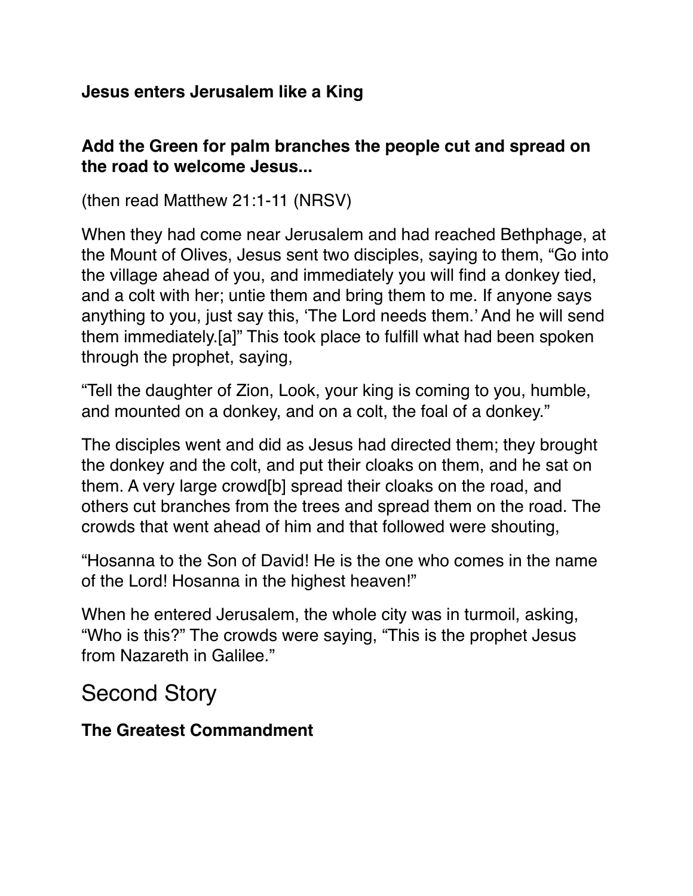**Jesus enters Jerusalem like a King**

#### **Add the Green for palm branches the people cut and spread on the road to welcome Jesus...**

(then read Matthew 21:1-11 (NRSV)

When they had come near Jerusalem and had reached Bethphage, at the Mount of Olives, Jesus sent two disciples, saying to them, "Go into the village ahead of you, and immediately you will find a donkey tied, and a colt with her; untie them and bring them to me. If anyone says anything to you, just say this, 'The Lord needs them.' And he will send them immediately.[a]" This took place to fulfill what had been spoken through the prophet, saying,

"Tell the daughter of Zion, Look, your king is coming to you, humble, and mounted on a donkey, and on a colt, the foal of a donkey."

The disciples went and did as Jesus had directed them; they brought the donkey and the colt, and put their cloaks on them, and he sat on them. A very large crowd[b] spread their cloaks on the road, and others cut branches from the trees and spread them on the road. The crowds that went ahead of him and that followed were shouting,

"Hosanna to the Son of David! He is the one who comes in the name of the Lord! Hosanna in the highest heaven!"

When he entered Jerusalem, the whole city was in turmoil, asking, "Who is this?" The crowds were saying, "This is the prophet Jesus from Nazareth in Galilee."

## Second Story

#### **The Greatest Commandment**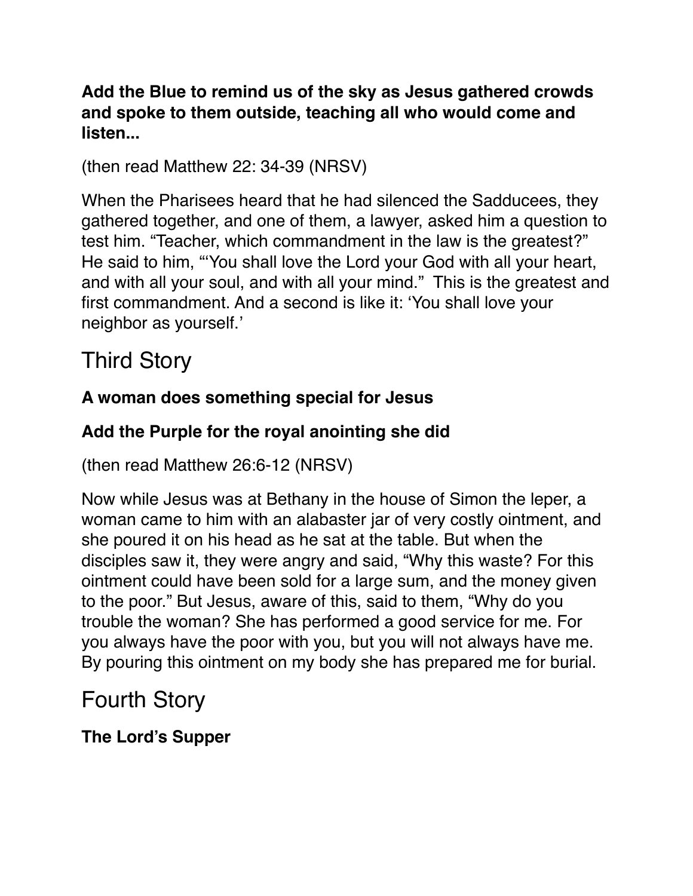**Add the Blue to remind us of the sky as Jesus gathered crowds and spoke to them outside, teaching all who would come and listen...** 

(then read Matthew 22: 34-39 (NRSV)

When the Pharisees heard that he had silenced the Sadducees, they gathered together, and one of them, a lawyer, asked him a question to test him. "Teacher, which commandment in the law is the greatest?" He said to him, "'You shall love the Lord your God with all your heart, and with all your soul, and with all your mind." This is the greatest and first commandment. And a second is like it: 'You shall love your neighbor as yourself.'

# Third Story

### **A woman does something special for Jesus**

### **Add the Purple for the royal anointing she did**

(then read Matthew 26:6-12 (NRSV)

Now while Jesus was at Bethany in the house of Simon the leper, a woman came to him with an alabaster jar of very costly ointment, and she poured it on his head as he sat at the table. But when the disciples saw it, they were angry and said, "Why this waste? For this ointment could have been sold for a large sum, and the money given to the poor." But Jesus, aware of this, said to them, "Why do you trouble the woman? She has performed a good service for me. For you always have the poor with you, but you will not always have me. By pouring this ointment on my body she has prepared me for burial.

# Fourth Story

**The Lord's Supper**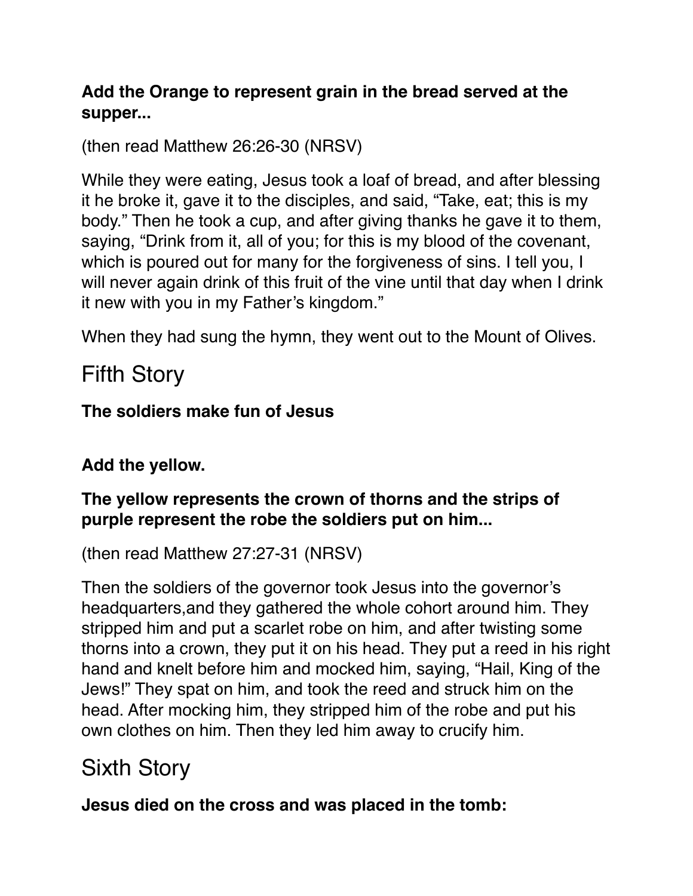#### **Add the Orange to represent grain in the bread served at the supper...**

(then read Matthew 26:26-30 (NRSV)

While they were eating, Jesus took a loaf of bread, and after blessing it he broke it, gave it to the disciples, and said, "Take, eat; this is my body." Then he took a cup, and after giving thanks he gave it to them, saying, "Drink from it, all of you; for this is my blood of the covenant, which is poured out for many for the forgiveness of sins. I tell you, I will never again drink of this fruit of the vine until that day when I drink it new with you in my Father's kingdom."

When they had sung the hymn, they went out to the Mount of Olives.

## Fifth Story

#### **The soldiers make fun of Jesus**

#### **Add the yellow.**

#### **The yellow represents the crown of thorns and the strips of purple represent the robe the soldiers put on him...**

(then read Matthew 27:27-31 (NRSV)

Then the soldiers of the governor took Jesus into the governor's headquarters,and they gathered the whole cohort around him. They stripped him and put a scarlet robe on him, and after twisting some thorns into a crown, they put it on his head. They put a reed in his right hand and knelt before him and mocked him, saying, "Hail, King of the Jews!" They spat on him, and took the reed and struck him on the head. After mocking him, they stripped him of the robe and put his own clothes on him. Then they led him away to crucify him.

# Sixth Story

**Jesus died on the cross and was placed in the tomb:**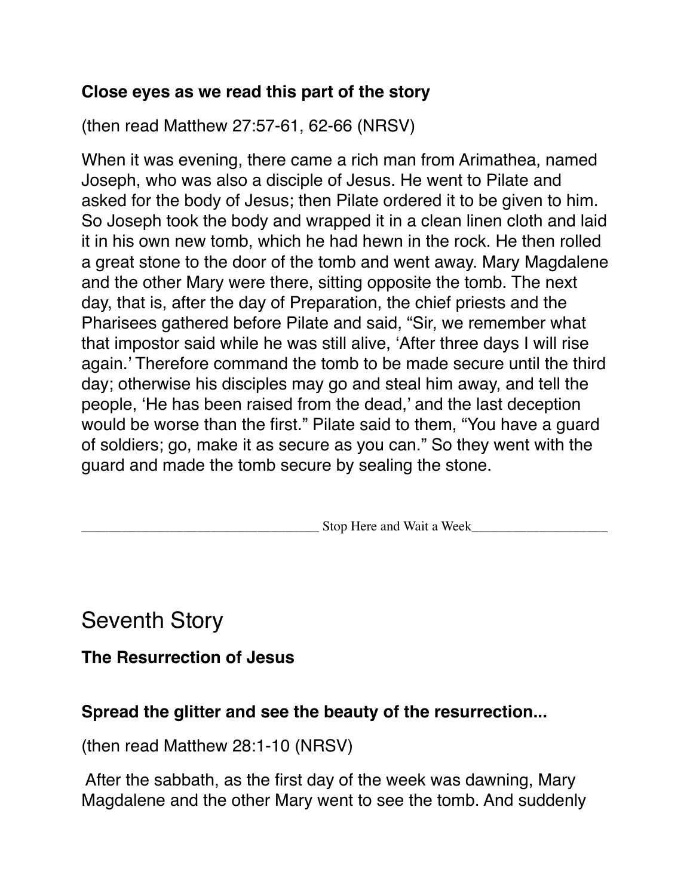#### **Close eyes as we read this part of the story**

(then read Matthew 27:57-61, 62-66 (NRSV)

When it was evening, there came a rich man from Arimathea, named Joseph, who was also a disciple of Jesus. He went to Pilate and asked for the body of Jesus; then Pilate ordered it to be given to him. So Joseph took the body and wrapped it in a clean linen cloth and laid it in his own new tomb, which he had hewn in the rock. He then rolled a great stone to the door of the tomb and went away. Mary Magdalene and the other Mary were there, sitting opposite the tomb. The next day, that is, after the day of Preparation, the chief priests and the Pharisees gathered before Pilate and said, "Sir, we remember what that impostor said while he was still alive, 'After three days I will rise again.' Therefore command the tomb to be made secure until the third day; otherwise his disciples may go and steal him away, and tell the people, 'He has been raised from the dead,' and the last deception would be worse than the first." Pilate said to them, "You have a guard of soldiers; go, make it as secure as you can." So they went with the guard and made the tomb secure by sealing the stone.

 $\Box$  Stop Here and Wait a Week

Seventh Story

**The Resurrection of Jesus**

#### **Spread the glitter and see the beauty of the resurrection...**

(then read Matthew 28:1-10 (NRSV)

 After the sabbath, as the first day of the week was dawning, Mary Magdalene and the other Mary went to see the tomb. And suddenly